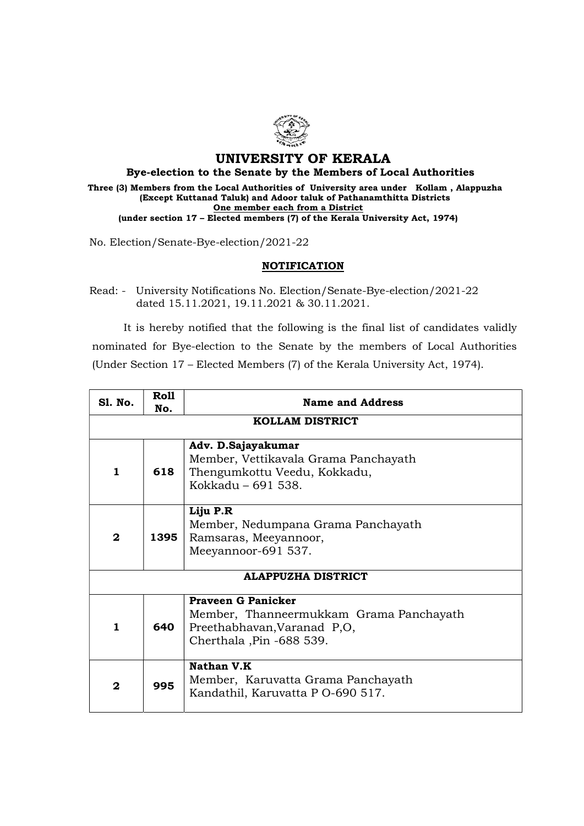

## UNIVERSITY OF KERALA

Bye-election to the Senate by the Members of Local Authorities

Three (3) Members from the Local Authorities of University area under Kollam , Alappuzha (Except Kuttanad Taluk) and Adoor taluk of Pathanamthitta Districts One member each from a District (under section 17 – Elected members (7) of the Kerala University Act, 1974)

No. Election/Senate-Bye-election/2021-22

## **NOTIFICATION**

Read: - University Notifications No. Election/Senate-Bye-election/2021-22 dated 15.11.2021, 19.11.2021 & 30.11.2021.

 It is hereby notified that the following is the final list of candidates validly nominated for Bye-election to the Senate by the members of Local Authorities (Under Section 17 – Elected Members (7) of the Kerala University Act, 1974).

| <b>S1. No.</b>            | Roll<br>No. | <b>Name and Address</b>                                                                                                         |  |
|---------------------------|-------------|---------------------------------------------------------------------------------------------------------------------------------|--|
| <b>KOLLAM DISTRICT</b>    |             |                                                                                                                                 |  |
| 1                         | 618         | Adv. D.Sajayakumar<br>Member, Vettikavala Grama Panchayath<br>Thengumkottu Veedu, Kokkadu,<br>Kokkadu - 691 538.                |  |
| $\mathbf{2}$              | 1395        | Liju P.R<br>Member, Nedumpana Grama Panchayath<br>Ramsaras, Meeyannoor,<br>Meeyannoor-691 537.                                  |  |
| <b>ALAPPUZHA DISTRICT</b> |             |                                                                                                                                 |  |
| 1                         | 640         | <b>Praveen G Panicker</b><br>Member, Thanneermukkam Grama Panchayath<br>Preethabhavan, Varanad P,O,<br>Cherthala, Pin -688 539. |  |
| 2                         | 995         | Nathan V.K<br>Member, Karuvatta Grama Panchayath<br>Kandathil, Karuvatta P 0-690 517.                                           |  |